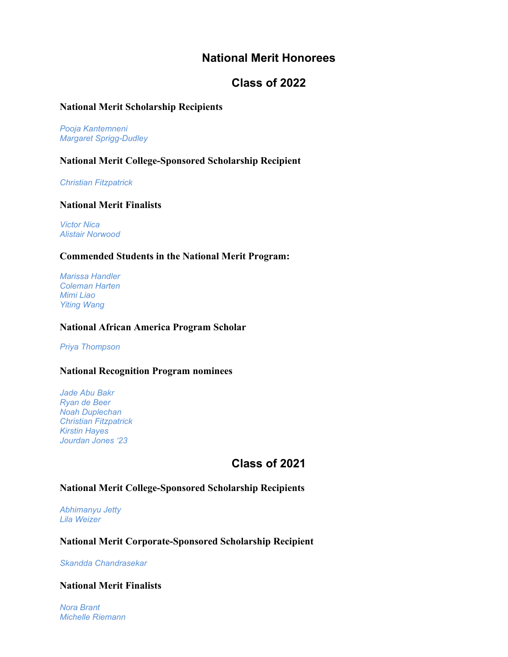# **National Merit Honorees**

# **Class of 2022**

# **National Merit Scholarship Recipients**

*Pooja Kantemneni Margaret Sprigg-Dudley*

# **National Merit College-Sponsored Scholarship Recipient**

*Christian Fitzpatrick*

#### **National Merit Finalists**

*Victor Nica Alistair Norwood*

#### **Commended Students in the National Merit Program:**

*Marissa Handler Coleman Harten Mimi Liao Yiting Wang*

#### **National African America Program Scholar**

*Priya Thompson*

#### **National Recognition Program nominees**

*Jade Abu Bakr Ryan de Beer Noah Duplechan Christian Fitzpatrick Kirstin Hayes Jourdan Jones '23*

# **Class of 2021**

#### **National Merit College-Sponsored Scholarship Recipients**

*Abhimanyu Jetty Lila Weizer*

#### **National Merit Corporate-Sponsored Scholarship Recipient**

*Skandda Chandrasekar*

#### **National Merit Finalists**

*Nora Brant Michelle Riemann*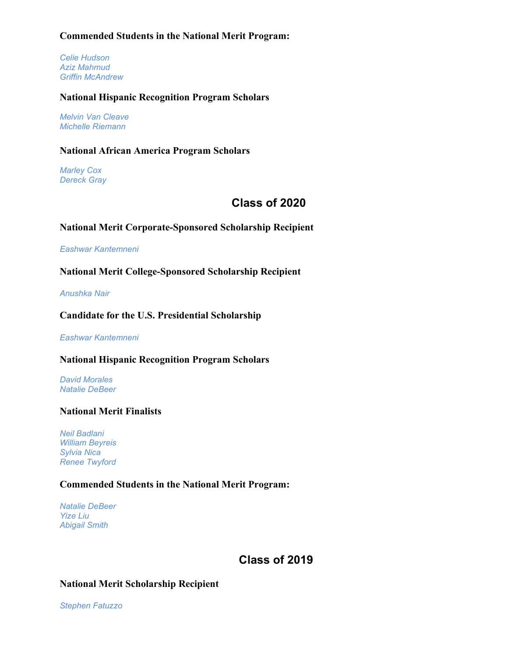# **Commended Students in the National Merit Program:**

*Celie Hudson Aziz Mahmud Griffin McAndrew*

# **National Hispanic Recognition Program Scholars**

*Melvin Van Cleave Michelle Riemann*

### **National African America Program Scholars**

*Marley Cox Dereck Gray*

# **Class of 2020**

# **National Merit Corporate-Sponsored Scholarship Recipient**

#### *Eashwar Kantemneni*

# **National Merit College-Sponsored Scholarship Recipient**

*Anushka Nair*

### **Candidate for the U.S. Presidential Scholarship**

*Eashwar Kantemneni*

#### **National Hispanic Recognition Program Scholars**

*David Morales Natalie DeBeer*

# **National Merit Finalists**

*Neil Badlani William Beyreis Sylvia Nica Renee Twyford*

# **Commended Students in the National Merit Program:**

*Natalie DeBeer Yize Liu Abigail Smith*

# **Class of 2019**

### **National Merit Scholarship Recipient**

*Stephen Fatuzzo*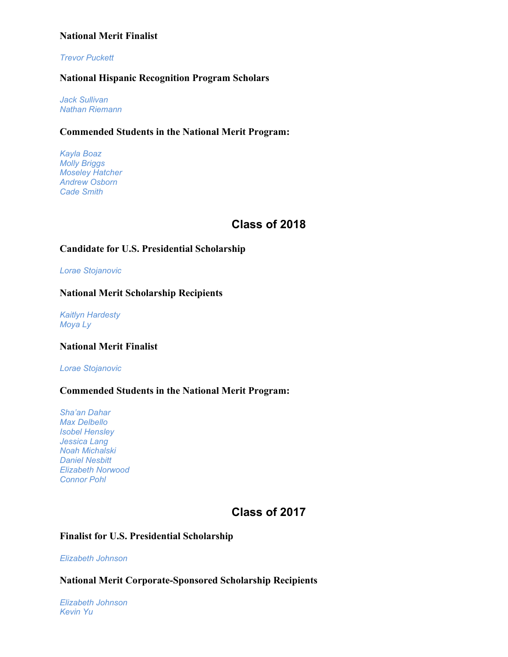# **National Merit Finalist**

#### *Trevor Puckett*

# **National Hispanic Recognition Program Scholars**

*Jack Sullivan Nathan Riemann*

# **Commended Students in the National Merit Program:**

*Kayla Boaz Molly Briggs Moseley Hatcher Andrew Osborn Cade Smith*

# **Class of 2018**

# **Candidate for U.S. Presidential Scholarship**

*Lorae Stojanovic*

# **National Merit Scholarship Recipients**

*Kaitlyn Hardesty Moya Ly*

# **National Merit Finalist**

*Lorae Stojanovic*

# **Commended Students in the National Merit Program:**

*Sha'an Dahar Max Delbello Isobel Hensley Jessica Lang Noah Michalski Daniel Nesbitt Elizabeth Norwood Connor Pohl*

# **Class of 2017**

# **Finalist for U.S. Presidential Scholarship**

*Elizabeth Johnson*

# **National Merit Corporate-Sponsored Scholarship Recipients**

*Elizabeth Johnson Kevin Yu*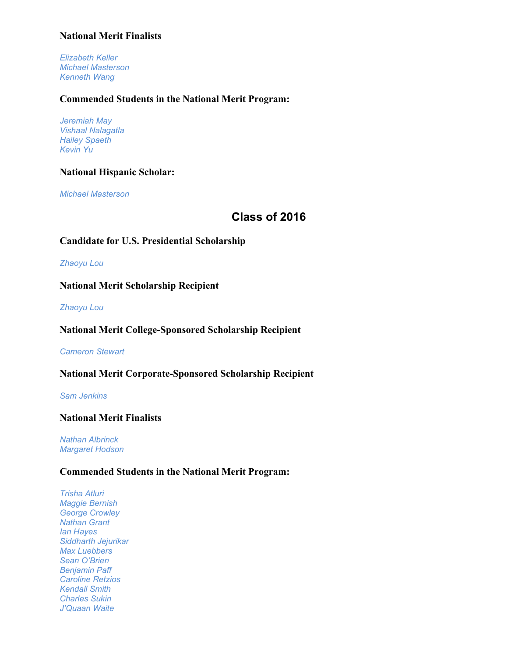# **National Merit Finalists**

*Elizabeth Keller Michael Masterson Kenneth Wang*

### **Commended Students in the National Merit Program:**

*Jeremiah May Vishaal Nalagatla Hailey Spaeth Kevin Yu*

### **National Hispanic Scholar:**

*Michael Masterson*

# **Class of 2016**

# **Candidate for U.S. Presidential Scholarship**

*Zhaoyu Lou*

### **National Merit Scholarship Recipient**

*Zhaoyu Lou*

## **National Merit College-Sponsored Scholarship Recipient**

*Cameron Stewart*

# **National Merit Corporate-Sponsored Scholarship Recipient**

*Sam Jenkins*

# **National Merit Finalists**

*Nathan Albrinck Margaret Hodson*

# **Commended Students in the National Merit Program:**

*Trisha Atluri Maggie Bernish George Crowley Nathan Grant Ian Hayes Siddharth Jejurikar Max Luebbers Sean O'Brien Benjamin Paff Caroline Retzios Kendall Smith Charles Sukin J'Quaan Waite*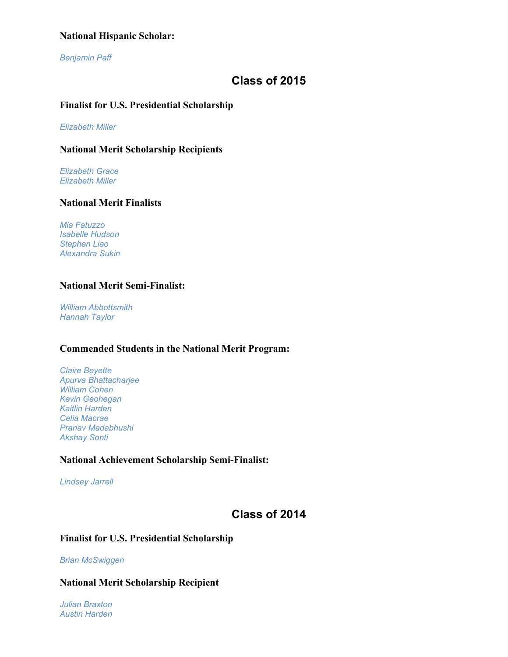# **National Hispanic Scholar:**

*Benjamin Paff*

# **Class of 2015**

# **Finalist for U.S. Presidential Scholarship**

*Elizabeth Miller*

# **National Merit Scholarship Recipients**

*Elizabeth Grace Elizabeth Miller*

# **National Merit Finalists**

*Mia Fatuzzo Isabelle Hudson Stephen Liao Alexandra Sukin*

# **National Merit Semi-Finalist:**

*William Abbottsmith Hannah Taylor*

# **Commended Students in the National Merit Program:**

*Claire Beyette Apurva Bhattacharjee William Cohen Kevin Geohegan Kaitlin Harden Celia Macrae Pranav Madabhushi Akshay Sonti*

# **National Achievement Scholarship Semi-Finalist:**

*Lindsey Jarrell*

# **Class of 2014**

# **Finalist for U.S. Presidential Scholarship**

*Brian McSwiggen*

# **National Merit Scholarship Recipient**

*Julian Braxton Austin Harden*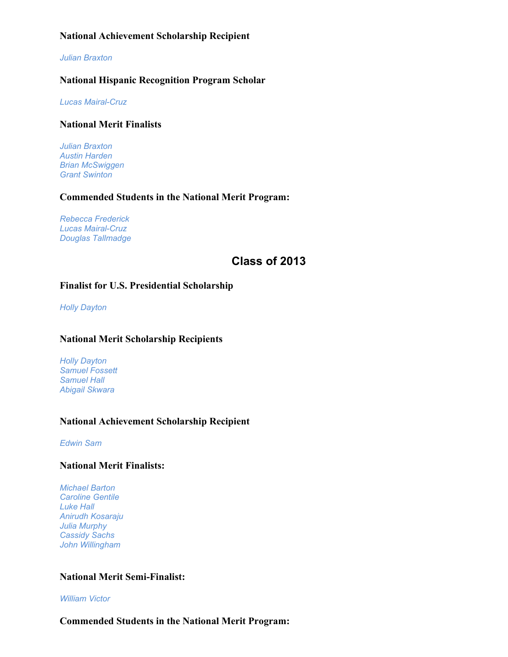# **National Achievement Scholarship Recipient**

#### *Julian Braxton*

# **National Hispanic Recognition Program Scholar**

*Lucas Mairal-Cruz*

#### **National Merit Finalists**

*Julian Braxton Austin Harden Brian McSwiggen Grant Swinton*

# **Commended Students in the National Merit Program:**

*Rebecca Frederick Lucas Mairal-Cruz Douglas Tallmadge*

# **Class of 2013**

# **Finalist for U.S. Presidential Scholarship**

*Holly Dayton*

# **National Merit Scholarship Recipients**

*Holly Dayton Samuel Fossett Samuel Hall Abigail Skwara*

# **National Achievement Scholarship Recipient**

*Edwin Sam*

# **National Merit Finalists:**

*Michael Barton Caroline Gentile Luke Hall Anirudh Kosaraju Julia Murphy Cassidy Sachs John Willingham*

# **National Merit Semi-Finalist:**

*William Victor*

### **Commended Students in the National Merit Program:**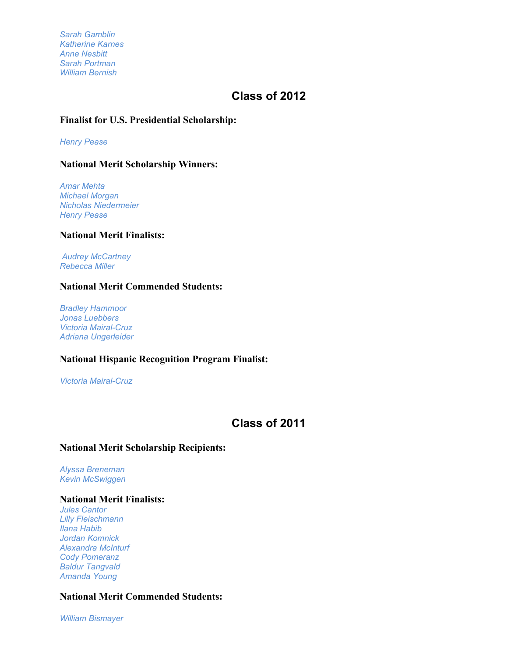*Sarah Gamblin Katherine Karnes Anne Nesbitt Sarah Portman William Bernish*

# **Class of 2012**

# **Finalist for U.S. Presidential Scholarship:**

*Henry Pease*

# **National Merit Scholarship Winners:**

*Amar Mehta Michael Morgan Nicholas Niedermeier Henry Pease*

### **National Merit Finalists:**

*Audrey McCartney Rebecca Miller*

### **National Merit Commended Students:**

*Bradley Hammoor Jonas Luebbers Victoria Mairal-Cruz Adriana Ungerleider*

# **National Hispanic Recognition Program Finalist:**

*Victoria Mairal-Cruz*

# **Class of 2011**

### **National Merit Scholarship Recipients:**

*Alyssa Breneman Kevin McSwiggen*

#### **National Merit Finalists:**

*Jules Cantor Lilly Fleischmann Ilana Habib Jordan Komnick Alexandra McInturf Cody Pomeranz Baldur Tangvald Amanda Young*

#### **National Merit Commended Students:**

*William Bismayer*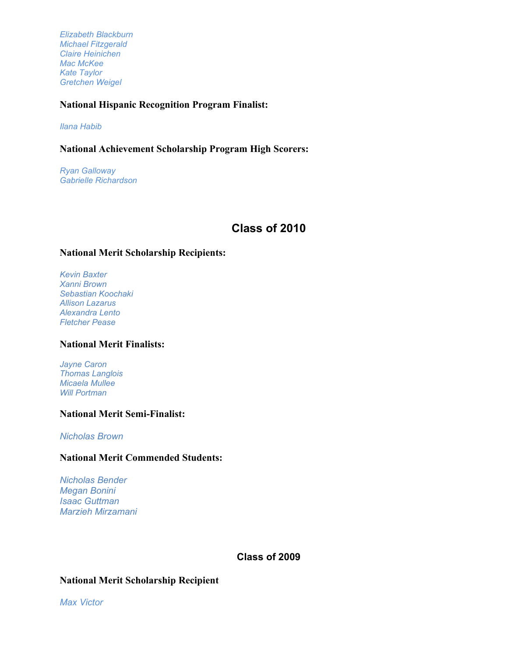*Elizabeth Blackburn Michael Fitzgerald Claire Heinichen Mac McKee Kate Taylor Gretchen Weigel*

# **National Hispanic Recognition Program Finalist:**

*Ilana Habib*

# **National Achievement Scholarship Program High Scorers:**

*Ryan Galloway Gabrielle Richardson*

# **Class of 2010**

### **National Merit Scholarship Recipients:**

*Kevin Baxter Xanni Brown Sebastian Koochaki Allison Lazarus Alexandra Lento Fletcher Pease*

# **National Merit Finalists:**

*Jayne Caron Thomas Langlois Micaela Mullee Will Portman*

# **National Merit Semi-Finalist:**

#### *Nicholas Brown*

#### **National Merit Commended Students:**

*Nicholas Bender Megan Bonini Isaac Guttman Marzieh Mirzamani*

### **Class of 2009**

# **National Merit Scholarship Recipient**

*Max Victor*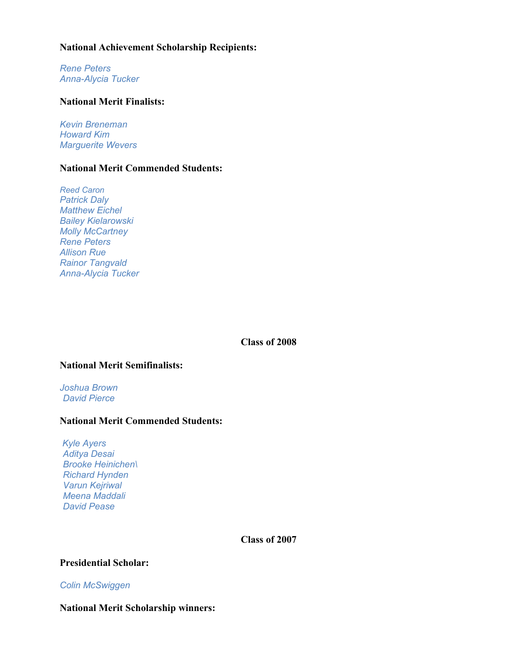## **National Achievement Scholarship Recipients:**

*Rene Peters Anna-Alycia Tucker*

### **National Merit Finalists:**

*Kevin Breneman Howard Kim Marguerite Wevers*

# **National Merit Commended Students:**

*Reed Caron Patrick Daly Matthew Eichel Bailey Kielarowski Molly McCartney Rene Peters Allison Rue Rainor Tangvald Anna-Alycia Tucker*

**Class of 2008**

# **National Merit Semifinalists:**

*Joshua Brown David Pierce*

# **National Merit Commended Students:**

*Kyle Ayers Aditya Desai Brooke Heinichen\ Richard Hynden Varun Kejriwal Meena Maddali David Pease*

**Class of 2007**

# **Presidential Scholar:**

#### *Colin McSwiggen*

#### **National Merit Scholarship winners:**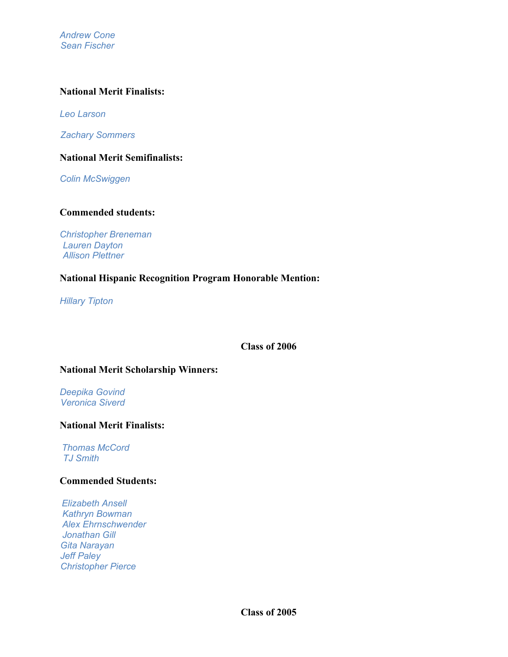*Andrew Cone Sean Fischer*

# **National Merit Finalists:**

*Leo Larson*

 *Zachary Sommers*

# **National Merit Semifinalists:**

 *Colin McSwiggen*

# **Commended students:**

*Christopher Breneman Lauren Dayton Allison Plettner*

# **National Hispanic Recognition Program Honorable Mention:**

*Hillary Tipton*

**Class of 2006**

# **National Merit Scholarship Winners:**

*Deepika Govind Veronica Siverd*

# **National Merit Finalists:**

*Thomas McCord TJ Smith* 

# **Commended Students:**

*Elizabeth Ansell Kathryn Bowman Alex Ehrnschwender Jonathan Gill Gita Narayan Jeff Paley Christopher Pierce*